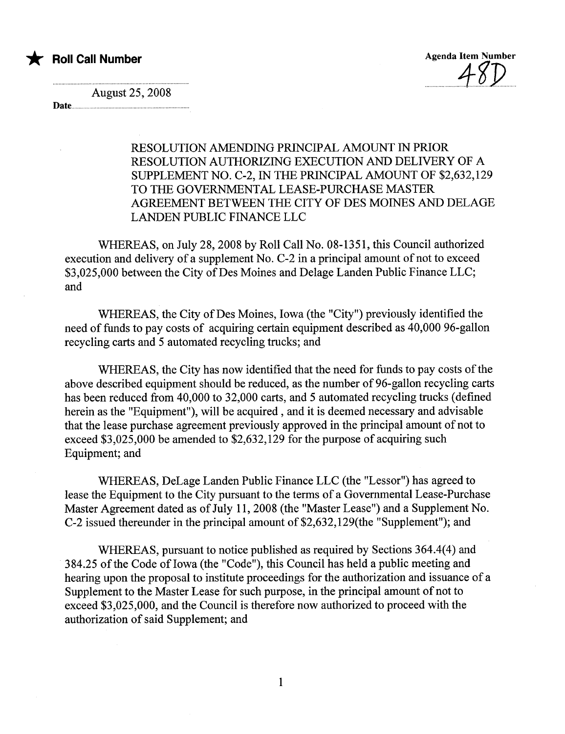

August 25,2008

Date..........

## RESOLUTION AMENDING PRINCIPAL AMOUNT IN PRIOR RESOLUTION AUTHORIZING EXECUTION AND DELIVERY OF A SUPPLEMENT NO. C-2, IN THE PRINCIPAL AMOUNT OF \$2,632,129 TO THE GOVERNNTAL LEASE-PURCHASE MASTER AGREEMENT BETWEEN THE CITY OF DES MOINS AND DELAGE LANDEN PUBLIC FINANCE LLC

WHEREAS, on July 28, 2008 by Roll Call No. 08-1351, this Council authorized execution and delivery of a supplement No. C-2 in a principal amount of not to exceed \$3,025,000 between the City of Des Moines and Delage Landen Public Finance LLC; and

WHEREAS, the City of Des Moines, Iowa (the "City") previously identified the need of funds to pay costs of acquiring certain equipment described as 40,000 96-gallon recycling carts and 5 automated recycling trucks; and

WHEREAS, the City has now identified that the need for funds to pay costs of the above described equipment should be reduced, as the number of 96-gallon recycling cars has been reduced from 40,000 to 32,000 carts, and 5 automated recycling trucks (defined herein as the "Equipment"), will be acquired, and it is deemed necessary and advisable that the lease purchase agreement previously approved in the principal amount of not to exceed \$3,025,000 be amended to \$2,632,129 for the purpose of acquiring such Equipment; and

WHEREAS, DeLage Landen Public Finance LLC (the "Lessor") has agreed to lease the Equipment to the City pursuant to the terms of a Governmental Lease-Purchase Master Agreement dated as of July 11,2008 (the "Master Lease") and a Supplement No. C-2 issued thereunder in the principal amount of \$2,632, 129(the "Supplement"); and

WHEREAS, pursuant to notice published as required by Sections 364.4(4) and 384.25 of the Code of Iowa (the "Code"), this Council has held a public meeting and hearing upon the proposal to institute proceedings for the authorization and issuance of a Supplement to the Master Lease for such purpose, in the principal amount of not to exceed \$3,025,000, and the Council is therefore now authorized to proceed with the authorization of said Supplement; and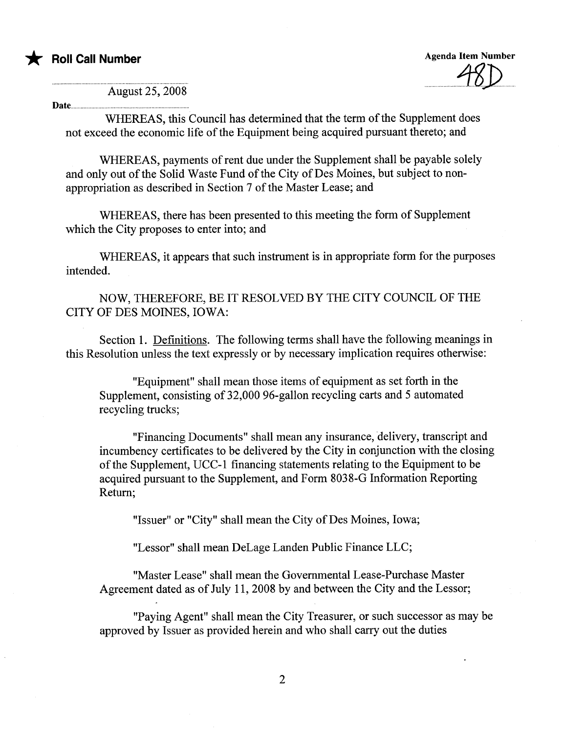

Agenda Item Number  $70$ 

August 25, 2008

............................... ................. ............................. .

Date...

WHREAS, this Council has determined that the term of the Supplement does not exceed the economic life of the Equipment being acquired pursuant thereto; and

WHEREAS, payments of rent due under the Supplement shall be payable solely and only out of the Solid Waste Fund of the City of Des Moines, but subject to nonappropriation as described in Section 7 of the Master Lease; and

WHEREAS, there has been presented to this meeting the form of Supplement which the City proposes to enter into; and

WHEREAS, it appears that such instrument is in appropriate form for the purposes intended.

NOW, THEREFORE, BE IT RESOLVED BY THE CITY COUNCIL OF THE CITY OF DES MOINS, IOWA:

Section 1. Definitions. The following terms shall have the following meanings in this Resolution unless the text expressly or by necessary implication requires otherwise:

"Equipment" shall mean those items of equipment as set forth in the Supplement, consisting of 32,000 96-gallon recycling carts and 5 automated recycling trucks;

"Financing Documents" shall mean any insurance, delivery, transcript and incumbency certificates to be delivered by the City in conjunction with the closing of the Supplement, UCC-1 financing statements relating to the Equipment to be acquired pursuant to the Supplement, and Form 8038-G Information Reporting Return;

"Issuer" or "City" shall mean the City of Des Moines, Iowa;

"Lessor" shall mean DeLage Landen Public Finance LLC;

"Master Lease" shall mean the Governmental Lease-Purchase Master Agreement dated as of July 11,2008 by and between the City and the Lessor;

"Paying Agent" shall mean the City Treasurer, or such successor as may be approved by Issuer as provided herein and who shall carry out the duties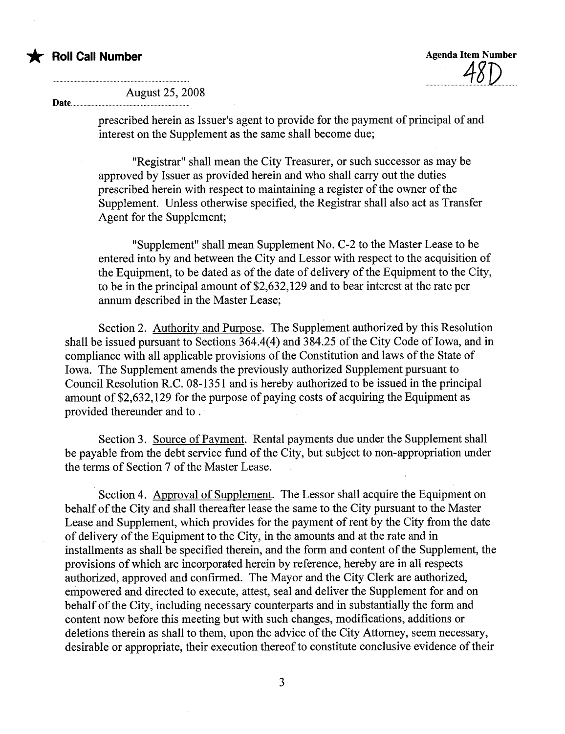

Date...

## August 25, 2008

prescribed herein as Issuer's agent to provide for the payment of principal of and interest on the Supplement as the same shall become due;

"Registrar" shall mean the City Treasurer, or such successor as may be approved by Issuer as provided herein and who shall carry out the duties prescribed herein with respect to maintaining a register of the owner of the Supplement. Unless otherwise specified, the Registrar shall also act as Transfer Agent for the Supplement;

"Supplement" shall mean Supplement No. C-2 to the Master Lease to be entered into by and between the City and Lessor with respect to the acquisition of the Equipment, to be dated as of the date of delivery of the Equipment to the City, to be in the principal amount of \$2,632, 129 and to bear interest at the rate per annum described in the Master Lease;

Section 2. Authority and Purpose. The Supplement authorized by this Resolution shall be issued pursuant to Sections 364.4(4) and 384.25 of the City Code of Iowa, and in compliance with all applicable provisions of the Constitution and laws of the State of Iowa. The Supplement amends the previously authorized Supplement pursuant to Council Resolution R.C. 08-1351 and is hereby authorized to be issued in the principal amount of \$2,632, 129 for the purpose of paying costs of acquiring the Equipment as provided thereunder and to .

Section 3. Source of Payment. Rental payments due under the Supplement shall be payable from the debt service fund of the City, but subject to non-appropriation under the terms of Section 7 of the Master Lease.

Section 4. Approval of Supplement. The Lessor shall acquire the Equipment on behalf of the City and shall thereafter lease the same to the City pursuant to the Master Lease and Supplement, which provides for the payment of rent by the City from the date of delivery of the Equipment to the City, in the amounts and at the rate and in installments as shall be specified therein, and the form and content of the Supplement, the provisions of which are incorporated herein by reference, hereby are in all respects authorized, approved and confirmed. The Mayor and the City Clerk are authorized, empowered and directed to execute, attest, seal and deliver the Supplement for and on behalf of the City, including necessary counterparts and in substantially the form and content now before this meeting but with such changes, modifications, additions or deletions therein as shall to them, upon the advice of the City Attorney, seem necessary, desirable or appropriate, their execution thereof to constitute conclusive evidence of their

3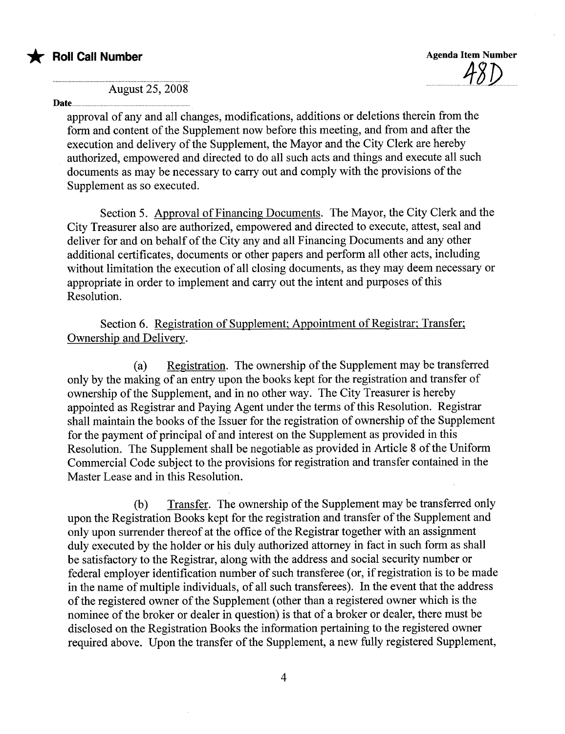

August 25, 2008

### Date......

approval of any and all changes, modifications, additions or deletions therein from the form and content of the Supplement now before this meeting, and from and after the execution and delivery of the Supplement, the Mayor and the City Clerk are hereby authorized, empowered and directed to do all such acts and things and execute all such documents as may be necessary to carry out and comply with the provisions of the Supplement as so executed.

Section 5. Approval of Financing Documents. The Mayor, the City Clerk and the City Treasurer also are authorized, empowered and directed to execute, attest, seal and deliver for and on behalf of the City any and all Financing Documents and any other additional certificates, documents or other papers and perform all other acts, including without limitation the execution of all closing documents, as they may deem necessary or appropriate in order to implement and carry out the intent and purposes of this Resolution.

Section 6. Registration of Supplement; Appointment of Registrar; Transfer; Ownership and Delivery.

(a) Registration. The ownership of the Supplement may be transferred only by the making of an entry upon the books kept for the registration and transfer of ownership of the Supplement, and in no other way. The City Treasurer is hereby appointed as Registrar and Paying Agent under the terms of this Resolution. Registrar shall maintain the books of the Issuer for the registration of ownership of the Supplement for the payment of principal of and interest on the Supplement as provided in this Resolution. The Supplement shall be negotiable as provided in Aricle 8 of the Uniform Commercial Code subject to the provisions for registration and transfer contained in the Master Lease and in this Resolution.

(b) Transfer. The ownership of the Supplement may be transferred only upon the Registration Books kept for the registration and transfer of the Supplement and only upon surrender thereof at the office of the Registrar together with an assignment duly executed by the holder or his duly authorized attorney in fact in such form as shall be satisfactory to the Registrar, along with the address and social security number or federal employer identification number of such transferee (or, if registration is to be made in the name of multiple individuals, of all such transferees). In the event that the address of the registered owner of the Supplement (other than a registered owner which is the nominee of the broker or dealer in question) is that of a broker or dealer, there must be disclosed on the Registration Books the information pertaining to the registered owner required above. Upon the transfer of the Supplement, a new fully registered Supplement,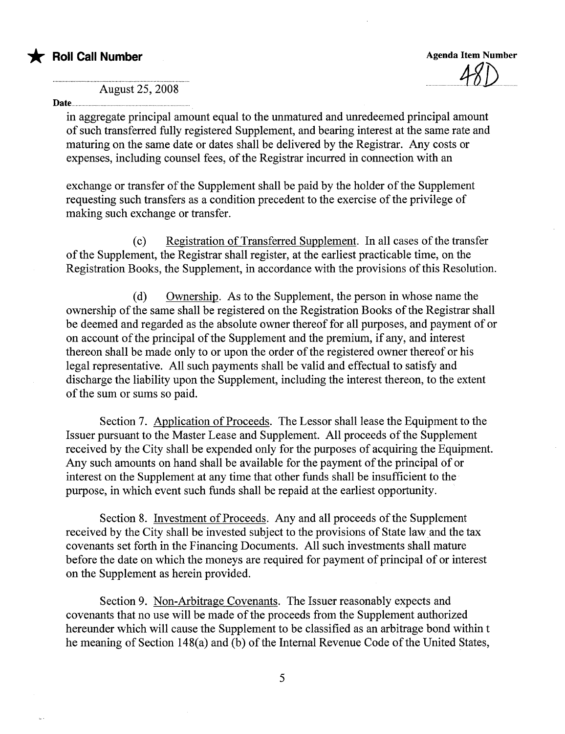

Agenda Item Number

 $.90\nu$ 

August 25, 2008

#### Date....

in aggregate principal amount equal to the unmatured and unredeemed principal amount of such transferred fully registered Supplement, and bearing interest at the same rate and maturing on the same date or dates shall be delivered by the Registrar. Any costs or expenses, including counsel fees, of the Registrar incurred in connection with an

exchange or transfer of the Supplement shall be paid by the holder of the Supplement requesting such transfers as a condition precedent to the exercise of the privilege of making such exchange or transfer.

( c) Registration of Transferred Supplement. In all cases of the transfer of the Supplement, the Registrar shall register, at the earliest practicable time, on the Registration Books, the Supplement, in accordance with the provisions of this Resolution.

(d) Ownership. As to the Supplement, the person in whose name the ownership of the same shall be registered on the Registration Books of the Registrar shall be deemed and regarded as the absolute owner thereof for all purposes, and payment of or on account of the principal of the Supplement and the premium, if any, and interest thereon shall be made only to or upon the order of the registered owner thereof or his legal representative. All such payments shall be valid and effectual to satisfy and discharge the liabilty upon the Supplement, including the interest thereon, to the extent of the sum or sums so paid.

Section 7. Application of Proceeds. The Lessor shall lease the Equipment to the Issuer pursuant to the Master Lease and Supplement. All proceeds of the Supplement received by the City shall be expended only for the purposes of acquiring the Equipment. Any such amounts on hand shall be available for the payment of the principal of or interest on the Supplement at any time that other funds shall be insufficient to the purpose, in which event such funds shall be repaid at the earliest opportunity.

Section 8. Investment of Proceeds. Any and all proceeds of the Supplement received by the City shall be invested subject to the provisions of State law and the tax covenants set forth in the Financing Documents. All such investments shall mature before the date on which the moneys are required for payment of principal of or interest on the Supplement as herein provided.

Section 9. Non-Arbitrage Covenants. The Issuer reasonably expects and covenants that no use will be made of the proceeds from the Supplement authorized hereunder which will cause the Supplement to be classified as an arbitrage bond within t he meaning of Section 148(a) and (b) of the Internal Revenue Code of the United States,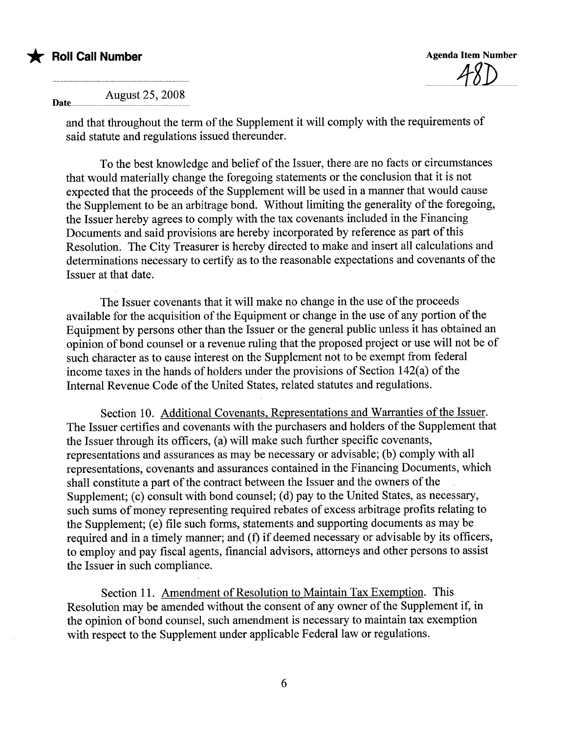

\* Roll Call Number Agenda Item Number Agenda Item Number  $\sim$  10)

August 25, 2008 Date....................................................................................

> and that throughout the term of the Supplement it will comply with the requirements of said statute and regulations issued thereunder.

To the best knowledge and belief of the Issuer, there are no facts or circumstances that would materially change the foregoing statements or the conclusion that it is not expected that the proceeds of the Supplement will be used in a manner that would cause the Supplement to be an arbitrage bond. Without limiting the generality of the foregoing, the Issuer hereby agrees to comply with the tax covenants included in the Financing Documents and said provisions are hereby incorporated by reference as part of this Resolution. The City Treasurer is hereby directed to make and insert all calculations and determinations necessary to certify as to the reasonable expectations and covenants of the Issuer at that date.

The Issuer covenants that it will make no change in the use of the proceeds available for the acquisition of the Equipment or change in the use of any portion of the Equipment by persons other than the Issuer or the general public unless it has obtained an opinion of bond counsel or a revenue ruling that the proposed project or use will not be of such character as to cause interest on the Supplement not to be exempt from federal income taxes in the hands of holders under the provisions of Section 142(a) of the Internal Revenue Code of the United States, related statutes and regulations.

Section 10. Additional Covenants. Representations and Warranties of the Issuer. The Issuer certifies and covenants with the purchasers and holders of the Supplement that the Issuer through its officers, (a) will make such further specific covenants, representations and assurances as may be necessary or advisable; (b) comply with all representations, covenants and assurances contained in the Financing Documents, which shall constitute a part of the contract between the Issuer and the owners of the Supplement; (c) consult with bond counsel; (d) pay to the United States, as necessary, such sums of money representing required rebates of excess arbitrage profits relating to the Supplement; (e) file such forms, statements and supporting documents as may be required and in a timely manner; and (f) if deemed necessary or advisable by its officers, to employ and pay fiscal agents, financial advisors, attorneys and other persons to assist the Issuer in such compliance.

Section 11. Amendment of Resolution to Maintain Tax Exemption. This Resolution may be amended without the consent of any owner of the Supplement if, in the opinion of bond counsel, such amendment is necessary to maintain tax exemption with respect to the Supplement under applicable Federal law or regulations.